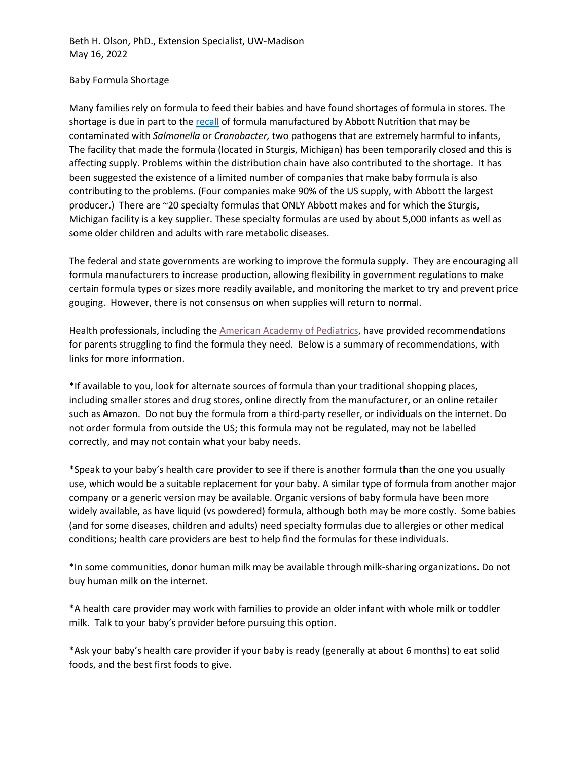Beth H. Olson, PhD., Extension Specialist, UW-Madison May 16, 2022

## Baby Formula Shortage

Many families rely on formula to feed their babies and have found shortages of formula in stores. The shortage is due in part to the [recall](https://www.fda.gov/consumers/powdered-infant-formula-recall-what-know#:%7E:text=In%20addition%20to%20products%20described,is%20part%20of%20the%20recall.) of formula manufactured by Abbott Nutrition that may be contaminated with *Salmonella* or *Cronobacter,* two pathogens that are extremely harmful to infants, The facility that made the formula (located in Sturgis, Michigan) has been temporarily closed and this is affecting supply. Problems within the distribution chain have also contributed to the shortage. It has been suggested the existence of a limited number of companies that make baby formula is also contributing to the problems. (Four companies make 90% of the US supply, with Abbott the largest producer.) There are ~20 specialty formulas that ONLY Abbott makes and for which the Sturgis, Michigan facility is a key supplier. These specialty formulas are used by about 5,000 infants as well as some older children and adults with rare metabolic diseases.

The federal and state governments are working to improve the formula supply. They are encouraging all formula manufacturers to increase production, allowing flexibility in government regulations to make certain formula types or sizes more readily available, and monitoring the market to try and prevent price gouging. However, there is not consensus on when supplies will return to normal.

Health professionals, including the [American Academy of Pediatrics,](https://www.healthychildren.org/English/tips-tools/ask-the-pediatrician/Pages/Are-there-shortages-of-infant-formula-due-to-COVID-19.aspx) have provided recommendations for parents struggling to find the formula they need. Below is a summary of recommendations, with links for more information.

\*If available to you, look for alternate sources of formula than your traditional shopping places, including smaller stores and drug stores, online directly from the manufacturer, or an online retailer such as Amazon. Do not buy the formula from a third-party reseller, or individuals on the internet. Do not order formula from outside the US; this formula may not be regulated, may not be labelled correctly, and may not contain what your baby needs.

\*Speak to your baby's health care provider to see if there is another formula than the one you usually use, which would be a suitable replacement for your baby. A similar type of formula from another major company or a generic version may be available. Organic versions of baby formula have been more widely available, as have liquid (vs powdered) formula, although both may be more costly. Some babies (and for some diseases, children and adults) need specialty formulas due to allergies or other medical conditions; health care providers are best to help find the formulas for these individuals.

\*In some communities, donor human milk may be available through milk-sharing organizations. Do not buy human milk on the internet.

\*A health care provider may work with families to provide an older infant with whole milk or toddler milk. Talk to your baby's provider before pursuing this option.

\*Ask your baby's health care provider if your baby is ready (generally at about 6 months) to eat solid foods, and the best first foods to give.